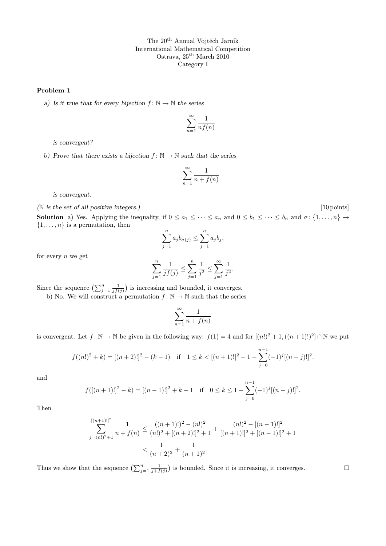## Problem 1

a) Is it true that for every bijection  $f: \mathbb{N} \to \mathbb{N}$  the series

$$
\sum_{n=1}^{\infty} \frac{1}{n f(n)}
$$

is convergent?

b) Prove that there exists a bijection  $f: \mathbb{N} \to \mathbb{N}$  such that the series

$$
\sum_{n=1}^{\infty} \frac{1}{n + f(n)}
$$

is convergent.

(N is the set of all positive integers.) [10 points]

**Solution** a) Yes. Applying the inequality, if  $0 \le a_1 \le \cdots \le a_n$  and  $0 \le b_1 \le \cdots \le b_n$  and  $\sigma: \{1, \ldots, n\} \to$  $\{1, \ldots, n\}$  is a permutation, then

$$
\sum_{j=1}^{n} a_j b_{\sigma(j)} \le \sum_{j=1}^{n} a_j b_j,
$$

for every  $n$  we get

$$
\sum_{j=1}^{n} \frac{1}{j f(j)} \le \sum_{j=1}^{n} \frac{1}{j^2} \le \sum_{j=1}^{\infty} \frac{1}{j^2}.
$$

Since the sequence  $\left(\sum_{j=1}^n \frac{1}{j f(j)}\right)$  is increasing and bounded, it converges.

b) No. We will construct a permutation  $f: \mathbb{N} \to \mathbb{N}$  such that the series

$$
\sum_{n=1}^{\infty} \frac{1}{n + f(n)}
$$

is convergent. Let  $f: \mathbb{N} \to \mathbb{N}$  be given in the following way:  $f(1) = 4$  and for  $[(n!)^2 + 1, ((n + 1)!)^2] \cap \mathbb{N}$  we put

$$
f((n!)^{2} + k) = [(n+2)!]^{2} - (k-1) \quad \text{if} \quad 1 \leq k < [(n+1)!]^{2} - 1 - \sum_{j=0}^{n-1} (-1)^{j} [(n-j)!]^{2}.
$$

and

$$
f([(n+1)!]^2 - k) = [(n-1)!]^2 + k + 1 \quad \text{if} \quad 0 \le k \le 1 + \sum_{j=0}^{n-1} (-1)^j [(n-j)!]^2.
$$

Then

$$
\sum_{j=(n!)^2+1}^{[(n+1)!]^2} \frac{1}{n+f(n)} \le \frac{((n+1)!)^2 - (n!)^2}{(n!)^2 + [(n+2)!]^2 + 1} + \frac{(n!)^2 - [(n-1)!]^2}{[(n+1)!]^2 + [(n-1)!]^2 + 1}
$$

$$
< \frac{1}{(n+2)^2} + \frac{1}{(n+1)^2}.
$$

Thus we show that the sequence  $\left(\sum_{j=1}^n \frac{1}{j+f(j)}\right)$  is bounded. Since it is increasing, it converges.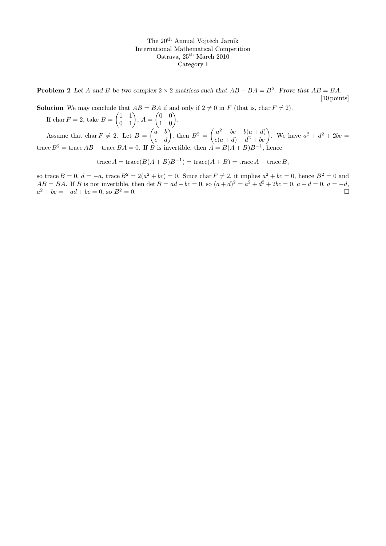**Problem 2** Let A and B be two complex  $2 \times 2$  matrices such that  $AB - BA = B^2$ . Prove that  $AB = BA$ . [10 points]

**Solution** We may conclude that  $AB = BA$  if and only if  $2 \neq 0$  in F (that is, char  $F \neq 2$ ).

If  $\text{char } F = 2$ , take  $B = \begin{pmatrix} 1 & 1 \\ 0 & 1 \end{pmatrix}$ ,  $A = \begin{pmatrix} 0 & 0 \\ 1 & 0 \end{pmatrix}$ . Assume that char  $F \neq 2$ . Let  $B = \begin{pmatrix} a & b \\ c & d \end{pmatrix}$ , then  $B^2 = \begin{pmatrix} a^2 + bc & b(a+d) \\ c(a+d) & d^2 + bc \end{pmatrix}$  $a^2 + bc \t b(a + d)$ . We have  $a^2 + d^2 + 2bc =$ <br>c(a+d)  $d^2 + bc$ . trace  $B^2 = \text{trace } AB - \text{trace } BA = 0$ . If B is invertible, then  $A = B(A + B)B^{-1}$ , hence

trace  $A = \text{trace}(B(A + B)B^{-1}) = \text{trace}(A + B) = \text{trace } A + \text{trace } B,$ 

so trace  $B = 0$ ,  $d = -a$ , trace  $B^2 = 2(a^2 + bc) = 0$ . Since char  $F \neq 2$ , it implies  $a^2 + bc = 0$ , hence  $B^2 = 0$  and  $AB = BA$ . If B is not invertible, then  $\det B = ad - bc = 0$ , so  $(a+d)^2 = a^2 + d^2 + 2bc = 0$ ,  $a+d=0$ ,  $a = -d$ ,  $a^2 + bc = -ad + bc = 0$ , so  $B^2 = 0$ .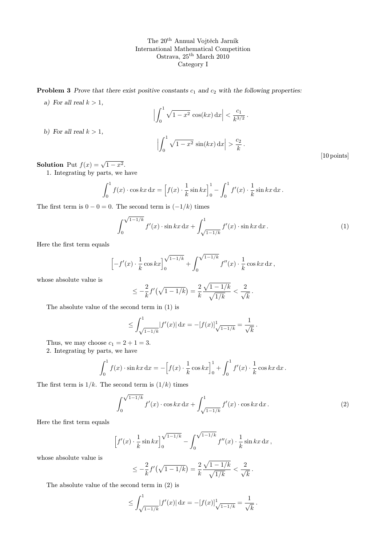**Problem 3** Prove that there exist positive constants  $c_1$  and  $c_2$  with the following properties:

a) For all real  $k > 1$ ,

b) For all real  $k > 1$ ,

$$
\left| \int_0^1 \sqrt{1 - x^2} \cos(kx) dx \right| < \frac{c_1}{k^{3/2}}.
$$

$$
\left| \int_0^1 \sqrt{1 - x^2} \sin(kx) dx \right| > \frac{c_2}{k}.
$$
[10 points]

**Solution** Put  $f(x) = \sqrt{1-x^2}$ .

1. Integrating by parts, we have

$$
\int_0^1 f(x) \cdot \cos kx \, dx = \left[ f(x) \cdot \frac{1}{k} \sin kx \right]_0^1 - \int_0^1 f'(x) \cdot \frac{1}{k} \sin kx \, dx.
$$

The first term is  $0 - 0 = 0$ . The second term is  $(-1/k)$  times

$$
\int_0^{\sqrt{1-1/k}} f'(x) \cdot \sin kx \, dx + \int_{\sqrt{1-1/k}}^1 f'(x) \cdot \sin kx \, dx. \tag{1}
$$

Here the first term equals

$$
\[ -f'(x) \cdot \frac{1}{k} \cos kx \]_0^{\sqrt{1-1/k}} + \int_0^{\sqrt{1-1/k}} f''(x) \cdot \frac{1}{k} \cos kx \, dx \, ,
$$

whose absolute value is

$$
\leq -\frac{2}{k}f'\left(\sqrt{1-1/k}\right) = \frac{2}{k}\frac{\sqrt{1-1/k}}{\sqrt{1/k}} < \frac{2}{\sqrt{k}}.
$$

The absolute value of the second term in (1) is

$$
\leq \int_{\sqrt{1-1/k}}^1 |f'(x)| \, \mathrm{d}x = -[f(x)]_{\sqrt{1-1/k}}^1 = \frac{1}{\sqrt{k}}
$$

Thus, we may choose  $c_1 = 2 + 1 = 3$ .

2. Integrating by parts, we have

$$
\int_0^1 f(x) \cdot \sin kx \, dx = -\left[f(x) \cdot \frac{1}{k} \cos kx\right]_0^1 + \int_0^1 f'(x) \cdot \frac{1}{k} \cos kx \, dx.
$$

The first term is  $1/k$ . The second term is  $(1/k)$  times

$$
\int_0^{\sqrt{1-1/k}} f'(x) \cdot \cos kx \, dx + \int_{\sqrt{1-1/k}}^1 f'(x) \cdot \cos kx \, dx. \tag{2}
$$

.

Here the first term equals

$$
\[f'(x) \cdot \frac{1}{k} \sin kx\]_0^{\sqrt{1-1/k}} - \int_0^{\sqrt{1-1/k}} f''(x) \cdot \frac{1}{k} \sin kx \, dx \,,\]
$$

whose absolute value is

$$
\leq -\frac{2}{k}f'(\sqrt{1-1/k}) = \frac{2}{k}\frac{\sqrt{1-1/k}}{\sqrt{1/k}} < \frac{2}{\sqrt{k}}.
$$

The absolute value of the second term in (2) is

$$
\leq \int_{\sqrt{1-1/k}}^1 |f'(x)| \, \mathrm{d}x = -[f(x)]_{\sqrt{1-1/k}}^1 = \frac{1}{\sqrt{k}}.
$$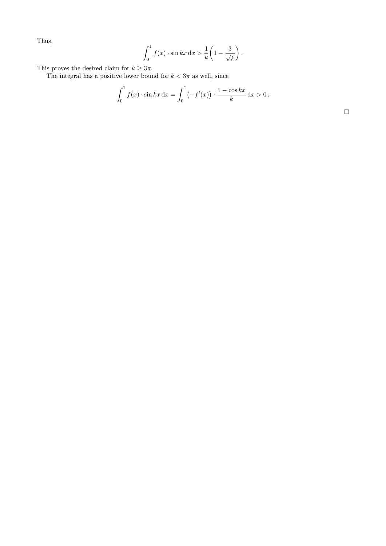Thus,

$$
\int_0^1 f(x) \cdot \sin kx \, dx > \frac{1}{k} \left( 1 - \frac{3}{\sqrt{k}} \right).
$$

This proves the desired claim for  $k \geq 3\pi$ .

The integral has a positive lower bound for  $k < 3\pi$  as well, since

$$
\int_0^1 f(x) \cdot \sin kx \, dx = \int_0^1 (-f'(x)) \cdot \frac{1 - \cos kx}{k} \, dx > 0.
$$

 $\Box$